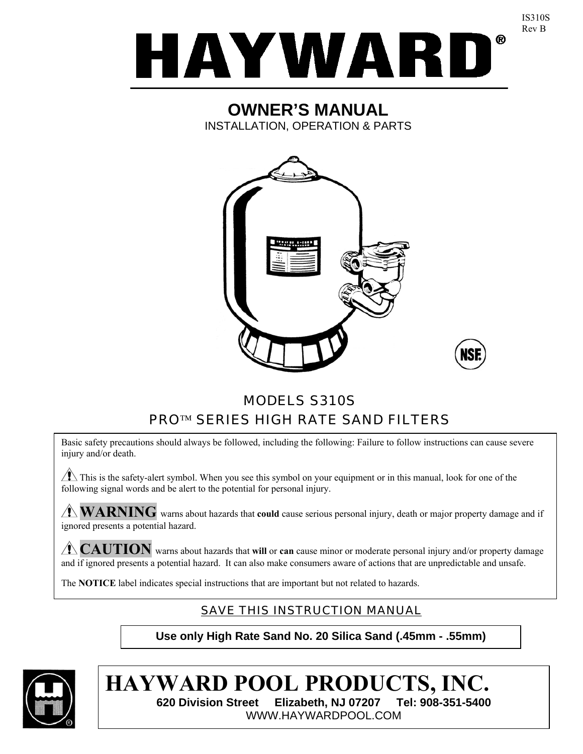

IS310S Rev B

# **OWNER'S MANUAL**  INSTALLATION, OPERATION & PARTS



# MODELS S310S PRO™ SERIES HIGH RATE SAND FILTERS

Basic safety precautions should always be followed, including the following: Failure to follow instructions can cause severe injury and/or death.

 $\sqrt{1}$  This is the safety-alert symbol. When you see this symbol on your equipment or in this manual, look for one of the following signal words and be alert to the potential for personal injury.

**WARNING** warns about hazards that **could** cause serious personal injury, death or major property damage and if ignored presents a potential hazard.

**CAUTION** warns about hazards that **will** or **can** cause minor or moderate personal injury and/or property damage and if ignored presents a potential hazard. It can also make consumers aware of actions that are unpredictable and unsafe.

The **NOTICE** label indicates special instructions that are important but not related to hazards.

# SAVE THIS INSTRUCTION MANUAL

**Use only High Rate Sand No. 20 Silica Sand (.45mm - .55mm)** 



**HAYWARD POOL PRODUCTS, INC. 620 Division Street Elizabeth, NJ 07207 Tel: 908-351-5400**  WWW.HAYWARDPOOL.COM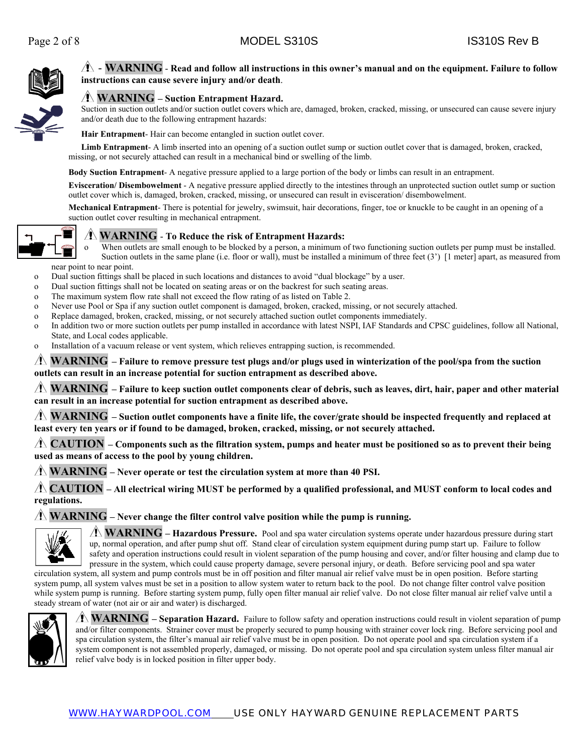

### - **WARNING** - **Read and follow all instructions in this owner's manual and on the equipment. Failure to follow instructions can cause severe injury and/or death**.

### **WARNING – Suction Entrapment Hazard.**

Suction in suction outlets and/or suction outlet covers which are, damaged, broken, cracked, missing, or unsecured can cause severe injury and/or death due to the following entrapment hazards:

**Hair Entrapment**- Hair can become entangled in suction outlet cover.

**Limb Entrapment**- A limb inserted into an opening of a suction outlet sump or suction outlet cover that is damaged, broken, cracked, missing, or not securely attached can result in a mechanical bind or swelling of the limb.

**Body Suction Entrapment**- A negative pressure applied to a large portion of the body or limbs can result in an entrapment.

**Evisceration/ Disembowelment** - A negative pressure applied directly to the intestines through an unprotected suction outlet sump or suction outlet cover which is, damaged, broken, cracked, missing, or unsecured can result in evisceration/ disembowelment.

**Mechanical Entrapment**- There is potential for jewelry, swimsuit, hair decorations, finger, toe or knuckle to be caught in an opening of a suction outlet cover resulting in mechanical entrapment.



#### **WARNING** - **To Reduce the risk of Entrapment Hazards:**

o When outlets are small enough to be blocked by a person, a minimum of two functioning suction outlets per pump must be installed. Suction outlets in the same plane (i.e. floor or wall), must be installed a minimum of three feet (3') [1 meter] apart, as measured from near point to near point.

- o Dual suction fittings shall be placed in such locations and distances to avoid "dual blockage" by a user.
- o Dual suction fittings shall not be located on seating areas or on the backrest for such seating areas.
- o The maximum system flow rate shall not exceed the flow rating of as listed on Table 2.
- o Never use Pool or Spa if any suction outlet component is damaged, broken, cracked, missing, or not securely attached.
- o Replace damaged, broken, cracked, missing, or not securely attached suction outlet components immediately.
- o In addition two or more suction outlets per pump installed in accordance with latest NSPI, IAF Standards and CPSC guidelines, follow all National, State, and Local codes applicable.
- o Installation of a vacuum release or vent system, which relieves entrapping suction, is recommended.

#### **WARNING – Failure to remove pressure test plugs and/or plugs used in winterization of the pool/spa from the suction outlets can result in an increase potential for suction entrapment as described above.**

**WARNING – Failure to keep suction outlet components clear of debris, such as leaves, dirt, hair, paper and other material can result in an increase potential for suction entrapment as described above.**

**WARNING – Suction outlet components have a finite life, the cover/grate should be inspected frequently and replaced at least every ten years or if found to be damaged, broken, cracked, missing, or not securely attached.**

**CAUTION – Components such as the filtration system, pumps and heater must be positioned so as to prevent their being used as means of access to the pool by young children.**

**WARNING – Never operate or test the circulation system at more than 40 PSI.**

**CAUTION – All electrical wiring MUST be performed by a qualified professional, and MUST conform to local codes and regulations.**

#### **WARNING – Never change the filter control valve position while the pump is running.**



**WARNING – Hazardous Pressure.** Pool and spa water circulation systems operate under hazardous pressure during start up, normal operation, and after pump shut off. Stand clear of circulation system equipment during pump start up. Failure to follow safety and operation instructions could result in violent separation of the pump housing and cover, and/or filter housing and clamp due to pressure in the system, which could cause property damage, severe personal injury, or death. Before servicing pool and spa water

circulation system, all system and pump controls must be in off position and filter manual air relief valve must be in open position. Before starting system pump, all system valves must be set in a position to allow system water to return back to the pool. Do not change filter control valve position while system pump is running. Before starting system pump, fully open filter manual air relief valve. Do not close filter manual air relief valve until a steady stream of water (not air or air and water) is discharged.



**WARNING – Separation Hazard.** Failure to follow safety and operation instructions could result in violent separation of pump and/or filter components. Strainer cover must be properly secured to pump housing with strainer cover lock ring. Before servicing pool and spa circulation system, the filter's manual air relief valve must be in open position. Do not operate pool and spa circulation system if a system component is not assembled properly, damaged, or missing. Do not operate pool and spa circulation system unless filter manual air relief valve body is in locked position in filter upper body.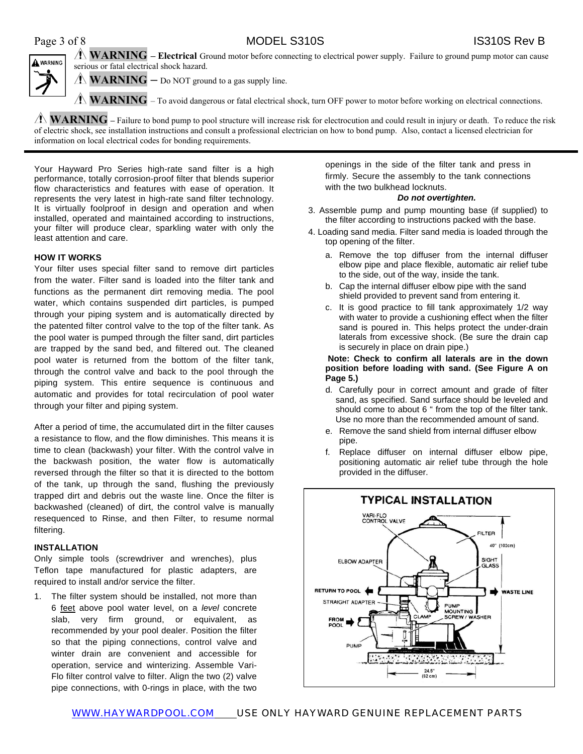Page 3 of 8 MODEL S310S IS310S Rev B



**WARNING – Electrical** Ground motor before connecting to electrical power supply. Failure to ground pump motor can cause serious or fatal electrical shock hazard.

**WARNING** – Do NOT ground to a gas supply line.

**WARNING** – To avoid dangerous or fatal electrical shock, turn OFF power to motor before working on electrical connections.

**WARNING** – Failure to bond pump to pool structure will increase risk for electrocution and could result in injury or death. To reduce the risk of electric shock, see installation instructions and consult a professional electrician on how to bond pump. Also, contact a licensed electrician for information on local electrical codes for bonding requirements.

Your Hayward Pro Series high-rate sand filter is a high performance, totally corrosion-proof filter that blends superior flow characteristics and features with ease of operation. It represents the very latest in high-rate sand filter technology. It is virtually foolproof in design and operation and when installed, operated and maintained according to instructions, your filter will produce clear, sparkling water with only the least attention and care.

#### **HOW IT WORKS**

Your filter uses special filter sand to remove dirt particles from the water. Filter sand is loaded into the filter tank and functions as the permanent dirt removing media. The pool water, which contains suspended dirt particles, is pumped through your piping system and is automatically directed by the patented filter control valve to the top of the filter tank. As the pool water is pumped through the filter sand, dirt particles are trapped by the sand bed, and filtered out. The cleaned pool water is returned from the bottom of the filter tank, through the control valve and back to the pool through the piping system. This entire sequence is continuous and automatic and provides for total recirculation of pool water through your filter and piping system.

After a period of time, the accumulated dirt in the filter causes a resistance to flow, and the flow diminishes. This means it is time to clean (backwash) your filter. With the control valve in the backwash position, the water flow is automatically reversed through the filter so that it is directed to the bottom of the tank, up through the sand, flushing the previously trapped dirt and debris out the waste line. Once the filter is backwashed (cleaned) of dirt, the control valve is manually resequenced to Rinse, and then Filter, to resume normal filtering.

#### **INSTALLATION**

Only simple tools (screwdriver and wrenches), plus Teflon tape manufactured for plastic adapters, are required to install and/or service the filter.

1. The filter system should be installed, not more than 6 feet above pool water level, on a *level* concrete slab, very firm ground, or equivalent, as recommended by your pool dealer. Position the filter so that the piping connections, control valve and winter drain are convenient and accessible for operation, service and winterizing. Assemble Vari-Flo filter control valve to filter. Align the two (2) valve pipe connections, with 0-rings in place, with the two

openings in the side of the filter tank and press in firmly. Secure the assembly to the tank connections with the two bulkhead locknuts.

#### *Do not overtighten.*

- 3. Assemble pump and pump mounting base (if supplied) to the filter according to instructions packed with the base.
- 4. Loading sand media. Filter sand media is loaded through the top opening of the filter.
	- a. Remove the top diffuser from the internal diffuser elbow pipe and place flexible, automatic air relief tube to the side, out of the way, inside the tank.
	- b. Cap the internal diffuser elbow pipe with the sand shield provided to prevent sand from entering it.
	- c. It is good practice to fill tank approximately 1/2 way with water to provide a cushioning effect when the filter sand is poured in. This helps protect the under-drain laterals from excessive shock. (Be sure the drain cap is securely in place on drain pipe.)

#### **Note: Check to confirm all laterals are in the down position before loading with sand. (See Figure A on Page 5.)**

- d. Carefully pour in correct amount and grade of filter sand, as specified. Sand surface should be leveled and should come to about 6 " from the top of the filter tank. Use no more than the recommended amount of sand.
- e. Remove the sand shield from internal diffuser elbow pipe.
- f. Replace diffuser on internal diffuser elbow pipe, positioning automatic air relief tube through the hole provided in the diffuser.



WWW.HAYWARDPOOL.COM USE ONLY HAYWARD GENUINE REPLACEMENT PARTS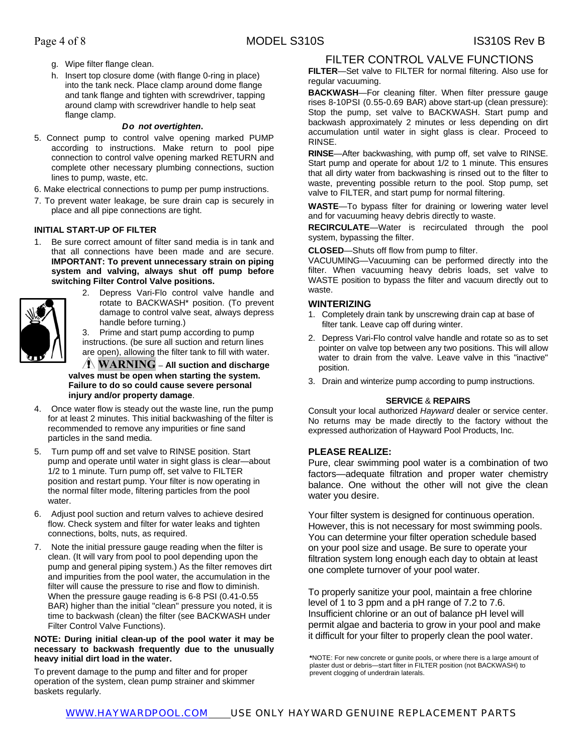- g. Wipe filter flange clean.
- h. Insert top closure dome (with flange 0-ring in place) into the tank neck. Place clamp around dome flange and tank flange and tighten with screwdriver, tapping around clamp with screwdriver handle to help seat flange clamp.

#### *Do not overtighten***.**

5. Connect pump to control valve opening marked PUMP according to instructions. Make return to pool pipe connection to control valve opening marked RETURN and complete other necessary plumbing connections, suction lines to pump, waste, etc.

6. Make electrical connections to pump per pump instructions.

7. To prevent water leakage, be sure drain cap is securely in place and all pipe connections are tight.

#### **INITIAL START-UP OF FILTER**

1. Be sure correct amount of filter sand media is in tank and that all connections have been made and are secure. **IMPORTANT: To prevent unnecessary strain on piping system and valving, always shut off pump before switching Filter Control Valve positions.**



2. Depress Vari-Flo control valve handle and rotate to BACKWASH\* position. (To prevent damage to control valve seat, always depress handle before turning.)

3. Prime and start pump according to pump instructions. (be sure all suction and return lines are open), allowing the filter tank to fill with water.

**WARNING – All suction and discharge valves must be open when starting the system. Failure to do so could cause severe personal injury and/or property damage**.

- 4. Once water flow is steady out the waste line, run the pump for at least 2 minutes. This initial backwashing of the filter is recommended to remove any impurities or fine sand particles in the sand media.
- 5. Turn pump off and set valve to RINSE position. Start pump and operate until water in sight glass is clear—about 1/2 to 1 minute. Turn pump off, set valve to FILTER position and restart pump. Your filter is now operating in the normal filter mode, filtering particles from the pool water
- 6. Adjust pool suction and return valves to achieve desired flow. Check system and filter for water leaks and tighten connections, bolts, nuts, as required.
- 7. Note the initial pressure gauge reading when the filter is clean. (It will vary from pool to pool depending upon the pump and general piping system.) As the filter removes dirt and impurities from the pool water, the accumulation in the filter will cause the pressure to rise and flow to diminish. When the pressure gauge reading is 6-8 PSI (0.41-0.55 BAR) higher than the initial "clean" pressure you noted, it is time to backwash (clean) the filter (see BACKWASH under Filter Control Valve Functions).

#### **NOTE: During initial clean-up of the pool water it may be necessary to backwash frequently due to the unusually heavy initial dirt load in the water.**

To prevent damage to the pump and filter and for proper operation of the system, clean pump strainer and skimmer baskets regularly.

### FILTER CONTROL VALVE FUNCTIONS

**FILTER**—Set valve to FILTER for normal filtering. Also use for regular vacuuming.

**BACKWASH**—For cleaning filter. When filter pressure gauge rises 8-10PSI (0.55-0.69 BAR) above start-up (clean pressure): Stop the pump, set valve to BACKWASH. Start pump and backwash approximately 2 minutes or less depending on dirt accumulation until water in sight glass is clear. Proceed to RINSE.

**RINSE**—After backwashing, with pump off, set valve to RINSE. Start pump and operate for about 1/2 to 1 minute. This ensures that all dirty water from backwashing is rinsed out to the filter to waste, preventing possible return to the pool. Stop pump, set valve to FILTER, and start pump for normal filtering.

**WASTE**—To bypass filter for draining or lowering water level and for vacuuming heavy debris directly to waste.

**RECIRCULATE**—Water is recirculated through the pool system, bypassing the filter.

**CLOSED**—Shuts off flow from pump to filter.

VACUUMING—Vacuuming can be performed directly into the filter. When vacuuming heavy debris loads, set valve to WASTE position to bypass the filter and vacuum directly out to waste.

#### **WINTERIZING**

- 1. Completely drain tank by unscrewing drain cap at base of filter tank. Leave cap off during winter.
- 2. Depress Vari-Flo control valve handle and rotate so as to set pointer on valve top between any two positions. This will allow water to drain from the valve. Leave valve in this "inactive" position.
- 3. Drain and winterize pump according to pump instructions.

#### **SERVICE** & **REPAIRS**

Consult your local authorized *Hayward* dealer or service center. No returns may be made directly to the factory without the expressed authorization of Hayward Pool Products, Inc.

#### **PLEASE REALIZE:**

Pure, clear swimming pool water is a combination of two factors—adequate filtration and proper water chemistry balance. One without the other will not give the clean water you desire.

Your filter system is designed for continuous operation. However, this is not necessary for most swimming pools. You can determine your filter operation schedule based on your pool size and usage. Be sure to operate your filtration system long enough each day to obtain at least one complete turnover of your pool water.

To properly sanitize your pool, maintain a free chlorine level of 1 to 3 ppm and a pH range of 7.2 to 7.6. Insufficient chlorine or an out of balance pH level will permit algae and bacteria to grow in your pool and make it difficult for your filter to properly clean the pool water.

**\***NOTE: For new concrete or gunite pools, or where there is a large amount of plaster dust or debris—start filter in FILTER position (not BACKWASH) to prevent clogging of underdrain laterals.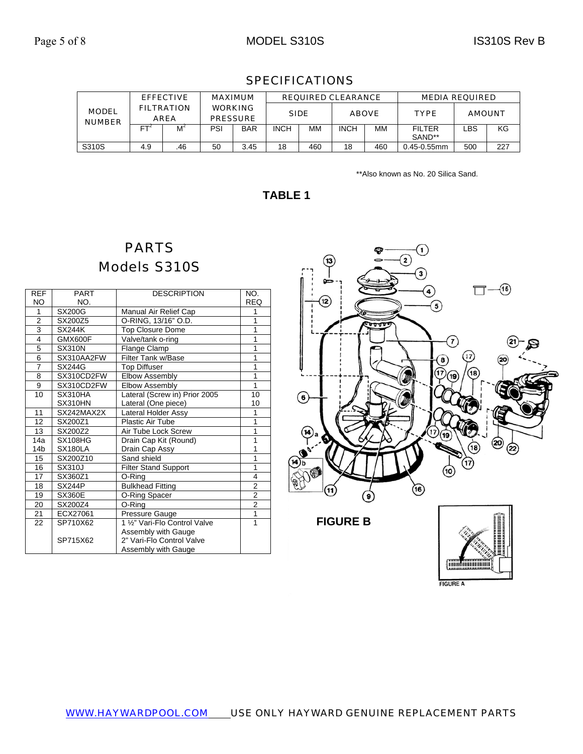| <b>EFFECTIVE</b>                                                  |     | <b>MAXIMUM</b> |                                   | <b>REQUIRED CLEARANCE</b> |             |              |             | <b>MEDIA REQUIRED</b> |                         |     |     |
|-------------------------------------------------------------------|-----|----------------|-----------------------------------|---------------------------|-------------|--------------|-------------|-----------------------|-------------------------|-----|-----|
| <b>FILTRATION</b><br><b>MODEL</b><br><b>AREA</b><br><b>NUMBER</b> |     |                | <b>WORKING</b><br><b>PRESSURE</b> | <b>SIDE</b>               |             | <b>ABOVE</b> |             | <b>TYPE</b>           | <b>AMOUNT</b>           |     |     |
|                                                                   | FT  | M              | PSI                               | <b>BAR</b>                | <b>INCH</b> | MМ           | <b>INCH</b> | MМ                    | <b>FILTER</b><br>SAND** | _BS | KG  |
| S310S                                                             | 4.9 | .46            | 50                                | 3.45                      | 18          | 460          | 18          | 460                   | $0.45 - 0.55$ mm        | 500 | 227 |

## SPECIFICATIONS

\*\*Also known as No. 20 Silica Sand.

## **TABLE 1**

# PARTS Models S310S

| <b>REF</b>     | <b>PART</b>    | <b>DESCRIPTION</b>            | NO.                     |
|----------------|----------------|-------------------------------|-------------------------|
| <b>NO</b>      | NO.            |                               | <b>REQ</b>              |
| 1              | <b>SX200G</b>  | Manual Air Relief Cap         | 1                       |
| $\overline{2}$ | SX200Z5        | O-RING, 13/16" O.D.           | 1                       |
| 3              | <b>SX244K</b>  | <b>Top Closure Dome</b>       | 1                       |
| $\overline{4}$ | GMX600F        | Valve/tank o-ring             | 1                       |
| $\overline{5}$ | <b>SX310N</b>  | Flange Clamp                  | 1                       |
| 6              | SX310AA2FW     | <b>Filter Tank w/Base</b>     | 1                       |
| $\overline{7}$ | SX244G         | Top Diffuser                  | $\overline{1}$          |
| 8              | SX310CD2FW     | <b>Elbow Assembly</b>         | 1                       |
| 9              | SX310CD2FW     | Elbow Assembly                | 1                       |
| 10             | SX310HA        | Lateral (Screw in) Prior 2005 | 10                      |
|                | SX310HN        | Lateral (One piece)           | 10                      |
| 11             | SX242MAX2X     | Lateral Holder Assy           | 1                       |
| 12             | SX200Z1        | <b>Plastic Air Tube</b>       | $\overline{1}$          |
| 13             | SX200Z2        | Air Tube Lock Screw           | 1                       |
| 14a            | <b>SX108HG</b> | Drain Cap Kit (Round)         | 1                       |
| 14b            | SX180LA        | Drain Cap Assy                | 1                       |
| 15             | SX200Z10       | Sand shield                   | 1                       |
| 16             | <b>SX310J</b>  | <b>Filter Stand Support</b>   | 1                       |
| 17             | SX360Z1        | O-Ring                        | $\overline{\mathbf{4}}$ |
| 18             | SX244P         | <b>Bulkhead Fitting</b>       | $\overline{2}$          |
| 19             | <b>SX360E</b>  | O-Ring Spacer                 | $\overline{2}$          |
| 20             | SX200Z4        | O-Ring                        | $\overline{2}$          |
| 21             | ECX27061       | Pressure Gauge                | 1                       |
| 22             | SP710X62       | 1 1/2" Vari-Flo Control Valve | 1                       |
|                |                | Assembly with Gauge           |                         |
|                | SP715X62       | 2" Vari-Flo Control Valve     |                         |
|                |                | Assembly with Gauge           |                         |

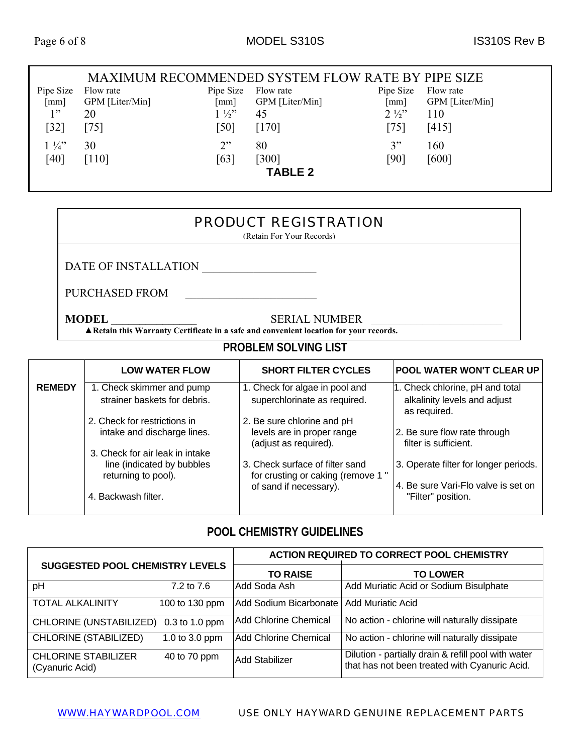#### MAXIMUM RECOMMENDED SYSTEM FLOW RATE BY PIPE SIZE Pipe Size [mm] Flow rate GPM [Liter/Min] Pipe Size Flow rate [mm] GPM [Liter/Min] Pipe Size Flow rate [mm] GPM [Liter/Min]  $1"$ [32] 20 [75]  $1\frac{1}{2}$ " [50] 45 [170]  $2\frac{1}{2}$ [75] 110 [415]  $1\frac{1}{4}$ [40] 30 [110]  $2"$ [63] 80 [300] 3" [90] 160 [600] **TABLE 2**

## PRODUCT REGISTRATION

(Retain For Your Records)

DATE OF INSTALLATION

PURCHASED FROM \_\_\_\_\_\_\_\_\_\_\_\_\_\_\_\_\_\_\_\_\_\_\_

**MODEL SERIAL NUMBER** 

**▲Retain this Warranty Certificate in a safe and convenient location for your records.**

# **PROBLEM SOLVING LIST**

|               | <b>LOW WATER FLOW</b>                                                                | <b>SHORT FILTER CYCLES</b>                                                        | POOL WATER WON'T CLEAR UP                                                       |
|---------------|--------------------------------------------------------------------------------------|-----------------------------------------------------------------------------------|---------------------------------------------------------------------------------|
| <b>REMEDY</b> | 1. Check skimmer and pump<br>strainer baskets for debris.                            | 1. Check for algae in pool and<br>superchlorinate as required.                    | 1. Check chlorine, pH and total<br>alkalinity levels and adjust<br>as required. |
|               | 2. Check for restrictions in<br>intake and discharge lines.                          | 2. Be sure chlorine and pH<br>levels are in proper range<br>(adjust as required). | 2. Be sure flow rate through<br>filter is sufficient.                           |
|               | 3. Check for air leak in intake<br>line (indicated by bubbles<br>returning to pool). | 3. Check surface of filter sand<br>for crusting or caking (remove 1"              | 3. Operate filter for longer periods.                                           |
|               | 4. Backwash filter.                                                                  | of sand if necessary).                                                            | 4. Be sure Vari-Flo valve is set on<br>"Filter" position.                       |

### **POOL CHEMISTRY GUIDELINES**

| <b>SUGGESTED POOL CHEMISTRY LEVELS</b>        |                | <b>ACTION REQUIRED TO CORRECT POOL CHEMISTRY</b> |                                                                                                      |  |  |
|-----------------------------------------------|----------------|--------------------------------------------------|------------------------------------------------------------------------------------------------------|--|--|
|                                               |                | <b>TO RAISE</b>                                  | <b>TO LOWER</b>                                                                                      |  |  |
| pH                                            | 7.2 to 7.6     | Add Soda Ash                                     | Add Muriatic Acid or Sodium Bisulphate                                                               |  |  |
| <b>TOTAL ALKALINITY</b>                       | 100 to 130 ppm | Add Sodium Bicarbonate                           | Add Muriatic Acid                                                                                    |  |  |
| CHLORINE (UNSTABILIZED) 0.3 to 1.0 ppm        |                | Add Chlorine Chemical                            | No action - chlorine will naturally dissipate                                                        |  |  |
| <b>CHLORINE (STABILIZED)</b>                  | 1.0 to 3.0 ppm | <b>Add Chlorine Chemical</b>                     | No action - chlorine will naturally dissipate                                                        |  |  |
| <b>CHLORINE STABILIZER</b><br>(Cyanuric Acid) | 40 to 70 ppm   | <b>Add Stabilizer</b>                            | Dilution - partially drain & refill pool with water<br>that has not been treated with Cyanuric Acid. |  |  |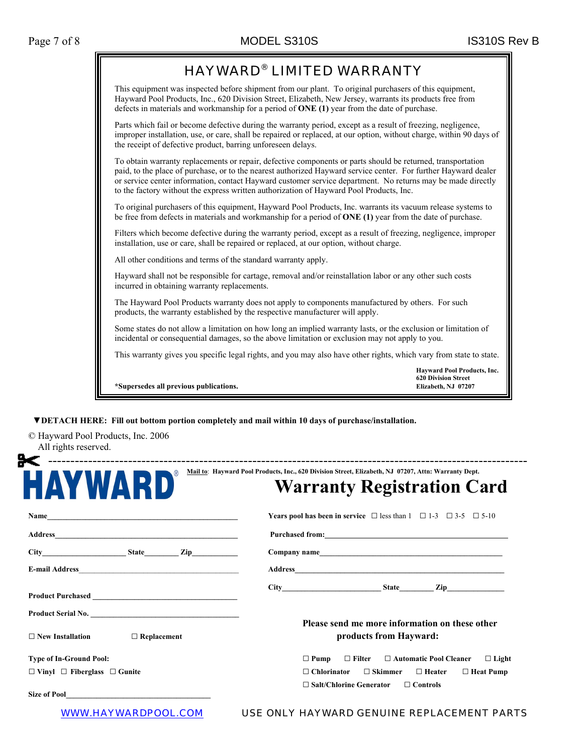

 **▼DETACH HERE: Fill out bottom portion completely and mail within 10 days of purchase/installation.** 

© Hayward Pool Products, Inc. 2006 All rights reserved.

| $\circledR$<br>HAYWARD                                                         | <b>Warranty Registration Card</b>                                                                                                                       |  |  |
|--------------------------------------------------------------------------------|---------------------------------------------------------------------------------------------------------------------------------------------------------|--|--|
|                                                                                | <b>Years pool has been in service</b> $\Box$ less than $1 \Box 1-3 \Box 3-5 \Box 5-10$                                                                  |  |  |
|                                                                                |                                                                                                                                                         |  |  |
|                                                                                |                                                                                                                                                         |  |  |
|                                                                                |                                                                                                                                                         |  |  |
|                                                                                |                                                                                                                                                         |  |  |
| Product Serial No.<br>$\Box$ Replacement<br>$\Box$ New Installation            | Please send me more information on these other<br>products from Hayward:                                                                                |  |  |
|                                                                                |                                                                                                                                                         |  |  |
| <b>Type of In-Ground Pool:</b><br>$\Box$ Vinyl $\Box$ Fiberglass $\Box$ Gunite | $\Box$ Filter $\Box$ Automatic Pool Cleaner<br>$\Box$ Pump<br>$\Box$ Light<br>$\Box$ Chlorinator<br>$\Box$ Skimmer<br>$\Box$ Heater<br>$\Box$ Heat Pump |  |  |
|                                                                                | $\Box$ Salt/Chlorine Generator<br>$\Box$ Controls                                                                                                       |  |  |